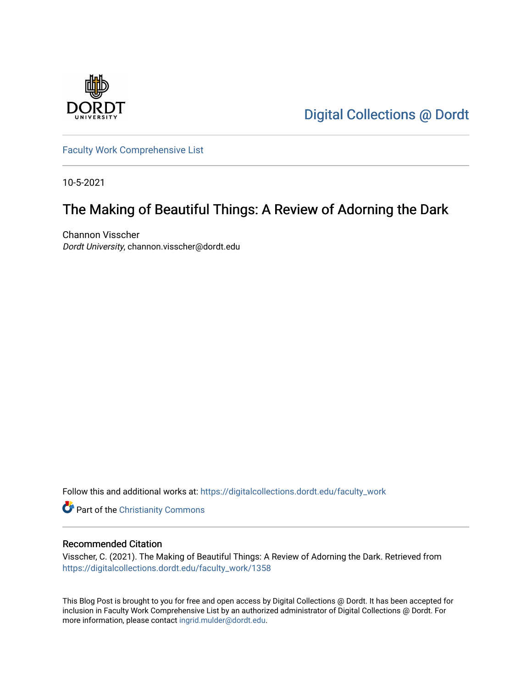

[Digital Collections @ Dordt](https://digitalcollections.dordt.edu/) 

[Faculty Work Comprehensive List](https://digitalcollections.dordt.edu/faculty_work)

10-5-2021

# The Making of Beautiful Things: A Review of Adorning the Dark

Channon Visscher Dordt University, channon.visscher@dordt.edu

Follow this and additional works at: [https://digitalcollections.dordt.edu/faculty\\_work](https://digitalcollections.dordt.edu/faculty_work?utm_source=digitalcollections.dordt.edu%2Ffaculty_work%2F1358&utm_medium=PDF&utm_campaign=PDFCoverPages) 

Part of the [Christianity Commons](http://network.bepress.com/hgg/discipline/1181?utm_source=digitalcollections.dordt.edu%2Ffaculty_work%2F1358&utm_medium=PDF&utm_campaign=PDFCoverPages) 

#### Recommended Citation

Visscher, C. (2021). The Making of Beautiful Things: A Review of Adorning the Dark. Retrieved from [https://digitalcollections.dordt.edu/faculty\\_work/1358](https://digitalcollections.dordt.edu/faculty_work/1358?utm_source=digitalcollections.dordt.edu%2Ffaculty_work%2F1358&utm_medium=PDF&utm_campaign=PDFCoverPages)

This Blog Post is brought to you for free and open access by Digital Collections @ Dordt. It has been accepted for inclusion in Faculty Work Comprehensive List by an authorized administrator of Digital Collections @ Dordt. For more information, please contact [ingrid.mulder@dordt.edu.](mailto:ingrid.mulder@dordt.edu)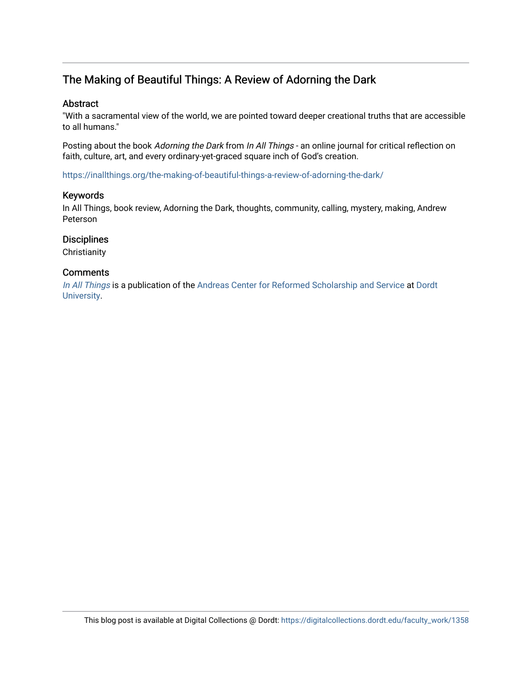## The Making of Beautiful Things: A Review of Adorning the Dark

#### Abstract

"With a sacramental view of the world, we are pointed toward deeper creational truths that are accessible to all humans."

Posting about the book Adorning the Dark from In All Things - an online journal for critical reflection on faith, culture, art, and every ordinary-yet-graced square inch of God's creation.

<https://inallthings.org/the-making-of-beautiful-things-a-review-of-adorning-the-dark/>

#### Keywords

In All Things, book review, Adorning the Dark, thoughts, community, calling, mystery, making, Andrew Peterson

#### **Disciplines**

**Christianity** 

#### **Comments**

[In All Things](http://inallthings.org/) is a publication of the [Andreas Center for Reformed Scholarship and Service](http://www.dordt.edu/services_support/andreas_center/) at Dordt [University](http://www.dordt.edu/).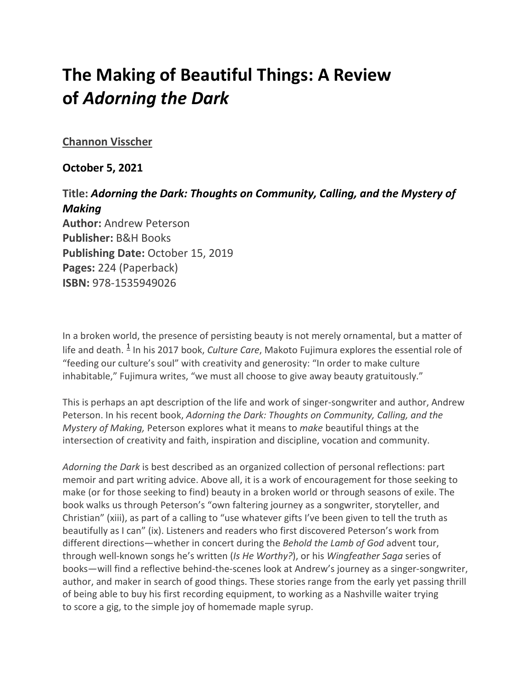# **The Making of Beautiful Things: A Review of** *Adorning the Dark*

## **[Channon Visscher](https://inallthings.org/author/channon_admin/)**

### **October 5, 2021**

# **Title:** *Adorning the Dark: Thoughts on Community, Calling, and the Mystery of Making*

**Author:** Andrew Peterson **Publisher:** B&H Books **Publishing Date:** October 15, 2019 **Pages:** 224 (Paperback) **ISBN:** 978-1535949026

In a broken world, the presence of persisting beauty is not merely ornamental, but a matter of life and death. <sup>[1](https://inallthings.org/the-making-of-beautiful-things-a-review-of-adorning-the-dark/#fn1-21610)</sup> In his 2017 book, *Culture Care*, Makoto Fujimura explores the essential role of "feeding our culture's soul" with creativity and generosity: "In order to make culture inhabitable," Fujimura writes, "we must all choose to give away beauty gratuitously."

This is perhaps an apt description of the life and work of singer-songwriter and author, Andrew Peterson. In his recent book, *Adorning the Dark: Thoughts on Community, Calling, and the Mystery of Making,* Peterson explores what it means to *make* beautiful things at the intersection of creativity and faith, inspiration and discipline, vocation and community.

*Adorning the Dark* is best described as an organized collection of personal reflections: part memoir and part writing advice. Above all, it is a work of encouragement for those seeking to make (or for those seeking to find) beauty in a broken world or through seasons of exile. The book walks us through Peterson's "own faltering journey as a songwriter, storyteller, and Christian" (xiii), as part of a calling to "use whatever gifts I've been given to tell the truth as beautifully as I can" (ix). Listeners and readers who first discovered Peterson's work from different directions—whether in concert during the *Behold the Lamb of God* advent tour, through well-known songs he's written (*Is He Worthy?*), or his *Wingfeather Saga* series of books—will find a reflective behind-the-scenes look at Andrew's journey as a singer-songwriter, author, and maker in search of good things. These stories range from the early yet passing thrill of being able to buy his first recording equipment, to working as a Nashville waiter trying to score a gig, to the simple joy of homemade maple syrup.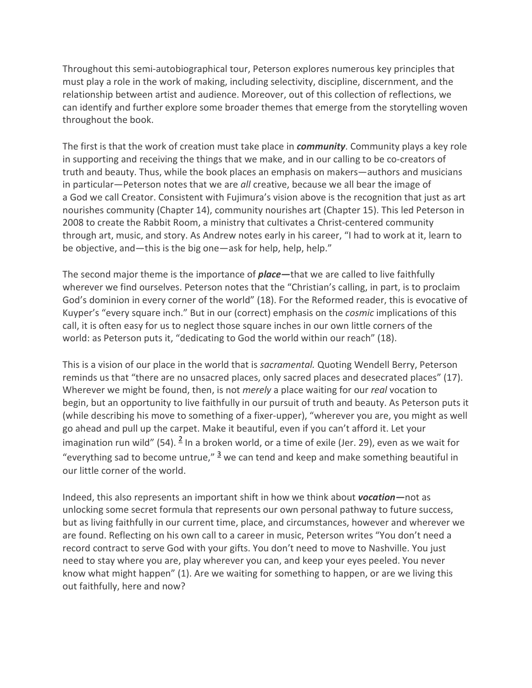Throughout this semi-autobiographical tour, Peterson explores numerous key principles that must play a role in the work of making, including selectivity, discipline, discernment, and the relationship between artist and audience. Moreover, out of this collection of reflections, we can identify and further explore some broader themes that emerge from the storytelling woven throughout the book.

The first is that the work of creation must take place in *community*. Community plays a key role in supporting and receiving the things that we make, and in our calling to be co-creators of truth and beauty. Thus, while the book places an emphasis on makers—authors and musicians in particular—Peterson notes that we are *all* creative, because we all bear the image of a God we call Creator. Consistent with Fujimura's vision above is the recognition that just as art nourishes community (Chapter 14), community nourishes art (Chapter 15). This led Peterson in 2008 to create the Rabbit Room, a ministry that cultivates a Christ-centered community through art, music, and story. As Andrew notes early in his career, "I had to work at it, learn to be objective, and—this is the big one—ask for help, help, help."

The second major theme is the importance of *place—*that we are called to live faithfully wherever we find ourselves. Peterson notes that the "Christian's calling, in part, is to proclaim God's dominion in every corner of the world" (18). For the Reformed reader, this is evocative of Kuyper's "every square inch." But in our (correct) emphasis on the *cosmic* implications of this call, it is often easy for us to neglect those square inches in our own little corners of the world: as Peterson puts it, "dedicating to God the world within our reach" (18).

This is a vision of our place in the world that is *sacramental.* Quoting Wendell Berry, Peterson reminds us that "there are no unsacred places, only sacred places and desecrated places" (17). Wherever we might be found, then, is not *merely* a place waiting for our *real* vocation to begin, but an opportunity to live faithfully in our pursuit of truth and beauty. As Peterson puts it (while describing his move to something of a fixer-upper), "wherever you are, you might as well go ahead and pull up the carpet. Make it beautiful, even if you can't afford it. Let your imagination run wild" (54).  $\frac{2}{3}$  In a broken world, or a time of exile (Jer. 29), even as we wait for "everything sad to become untrue,"  $\frac{3}{2}$  we can tend and keep and make something beautiful in our little corner of the world.

Indeed, this also represents an important shift in how we think about *vocation—*not as unlocking some secret formula that represents our own personal pathway to future success, but as living faithfully in our current time, place, and circumstances, however and wherever we are found. Reflecting on his own call to a career in music, Peterson writes "You don't need a record contract to serve God with your gifts. You don't need to move to Nashville. You just need to stay where you are, play wherever you can, and keep your eyes peeled. You never know what might happen" (1). Are we waiting for something to happen, or are we living this out faithfully, here and now?